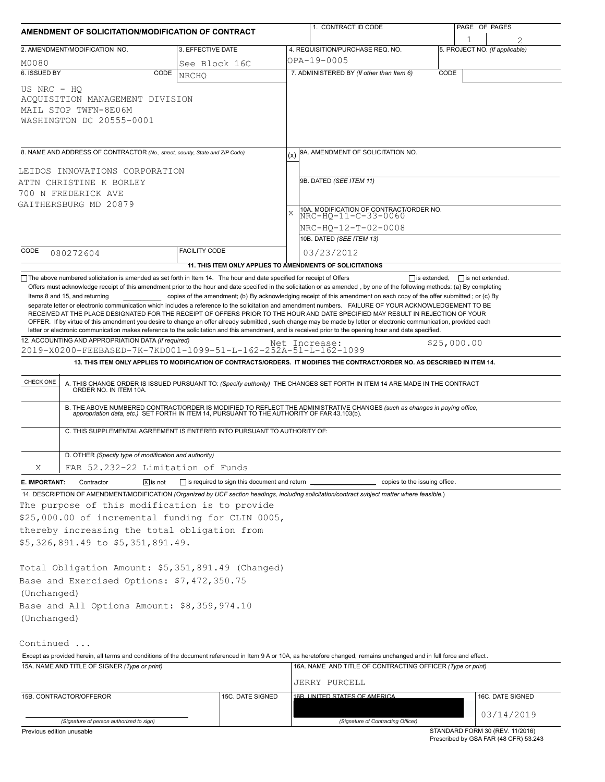| AMENDMENT OF SOLICITATION/MODIFICATION OF CONTRACT                                                                                                                                                                                                                                                        |                                                                          | 1. CONTRACT ID CODE                                                                                                                                                                                                                                                                                                                                                                                                                                                                                                                                                                                                | PAGE OF PAGES                                  |  |  |  |
|-----------------------------------------------------------------------------------------------------------------------------------------------------------------------------------------------------------------------------------------------------------------------------------------------------------|--------------------------------------------------------------------------|--------------------------------------------------------------------------------------------------------------------------------------------------------------------------------------------------------------------------------------------------------------------------------------------------------------------------------------------------------------------------------------------------------------------------------------------------------------------------------------------------------------------------------------------------------------------------------------------------------------------|------------------------------------------------|--|--|--|
| 2. AMENDMENT/MODIFICATION NO.                                                                                                                                                                                                                                                                             | 3. EFFECTIVE DATE                                                        | 4. REQUISITION/PURCHASE REQ. NO.                                                                                                                                                                                                                                                                                                                                                                                                                                                                                                                                                                                   | 1<br>5. PROJECT NO. (If applicable)            |  |  |  |
| M0080                                                                                                                                                                                                                                                                                                     | See Block 16C                                                            | OPA-19-0005                                                                                                                                                                                                                                                                                                                                                                                                                                                                                                                                                                                                        |                                                |  |  |  |
| 6. ISSUED BY<br>CODE                                                                                                                                                                                                                                                                                      | <b>NRCHO</b>                                                             | 7. ADMINISTERED BY (If other than Item 6)                                                                                                                                                                                                                                                                                                                                                                                                                                                                                                                                                                          | CODE                                           |  |  |  |
| US NRC - HO<br>ACQUISITION MANAGEMENT DIVISION<br>MAIL STOP TWFN-8E06M<br>WASHINGTON DC 20555-0001                                                                                                                                                                                                        |                                                                          |                                                                                                                                                                                                                                                                                                                                                                                                                                                                                                                                                                                                                    |                                                |  |  |  |
| 8. NAME AND ADDRESS OF CONTRACTOR (No., street, county, State and ZIP Code)                                                                                                                                                                                                                               |                                                                          | 9A. AMENDMENT OF SOLICITATION NO.                                                                                                                                                                                                                                                                                                                                                                                                                                                                                                                                                                                  |                                                |  |  |  |
| LEIDOS INNOVATIONS CORPORATION                                                                                                                                                                                                                                                                            |                                                                          |                                                                                                                                                                                                                                                                                                                                                                                                                                                                                                                                                                                                                    |                                                |  |  |  |
| ATTN CHRISTINE K BORLEY                                                                                                                                                                                                                                                                                   |                                                                          | 9B. DATED (SEE ITEM 11)                                                                                                                                                                                                                                                                                                                                                                                                                                                                                                                                                                                            |                                                |  |  |  |
| 700 N FREDERICK AVE                                                                                                                                                                                                                                                                                       |                                                                          |                                                                                                                                                                                                                                                                                                                                                                                                                                                                                                                                                                                                                    |                                                |  |  |  |
| GAITHERSBURG MD 20879                                                                                                                                                                                                                                                                                     |                                                                          | 10A. MODIFICATION OF CONTRACT/ORDER NO.                                                                                                                                                                                                                                                                                                                                                                                                                                                                                                                                                                            |                                                |  |  |  |
|                                                                                                                                                                                                                                                                                                           |                                                                          | $\bar{x}$<br>NRC-HO-11-C-33-0060                                                                                                                                                                                                                                                                                                                                                                                                                                                                                                                                                                                   |                                                |  |  |  |
|                                                                                                                                                                                                                                                                                                           |                                                                          | NRC-HQ-12-T-02-0008                                                                                                                                                                                                                                                                                                                                                                                                                                                                                                                                                                                                |                                                |  |  |  |
| CODE                                                                                                                                                                                                                                                                                                      | <b>FACILITY CODE</b>                                                     | 10B. DATED (SEE ITEM 13)                                                                                                                                                                                                                                                                                                                                                                                                                                                                                                                                                                                           |                                                |  |  |  |
| 080272604                                                                                                                                                                                                                                                                                                 |                                                                          | 03/23/2012                                                                                                                                                                                                                                                                                                                                                                                                                                                                                                                                                                                                         |                                                |  |  |  |
| The above numbered solicitation is amended as set forth in Item 14. The hour and date specified for receipt of Offers                                                                                                                                                                                     |                                                                          | 11. THIS ITEM ONLY APPLIES TO AMENDMENTS OF SOLICITATIONS                                                                                                                                                                                                                                                                                                                                                                                                                                                                                                                                                          | $\Box$ is extended,<br>$\Box$ is not extended. |  |  |  |
| 12. ACCOUNTING AND APPROPRIATION DATA (If required)<br>2019-X0200-FEEBASED-7K-7KD001-1099-51-L-162-252A-51-L-162-1099                                                                                                                                                                                     |                                                                          | RECEIVED AT THE PLACE DESIGNATED FOR THE RECEIPT OF OFFERS PRIOR TO THE HOUR AND DATE SPECIFIED MAY RESULT IN REJECTION OF YOUR<br>OFFER. If by virtue of this amendment you desire to change an offer already submitted, such change may be made by letter or electronic communication, provided each<br>letter or electronic communication makes reference to the solicitation and this amendment, and is received prior to the opening hour and date specified.<br>Net Increase:<br>13. THIS ITEM ONLY APPLIES TO MODIFICATION OF CONTRACTS/ORDERS. IT MODIFIES THE CONTRACT/ORDER NO. AS DESCRIBED IN ITEM 14. | \$25,000.00                                    |  |  |  |
|                                                                                                                                                                                                                                                                                                           |                                                                          |                                                                                                                                                                                                                                                                                                                                                                                                                                                                                                                                                                                                                    |                                                |  |  |  |
| CHECK ONE                                                                                                                                                                                                                                                                                                 |                                                                          | A. THIS CHANGE ORDER IS ISSUED PURSUANT TO: (Specify authority) THE CHANGES SET FORTH IN ITEM 14 ARE MADE IN THE CONTRACT ORDER NO. IN ITEM 10A.                                                                                                                                                                                                                                                                                                                                                                                                                                                                   |                                                |  |  |  |
|                                                                                                                                                                                                                                                                                                           |                                                                          | B. THE ABOVE NUMBERED CONTRACT/ORDER IS MODIFIED TO REFLECT THE ADMINISTRATIVE CHANGES (such as changes in paying office, appropriation data, etc.) SET FORTH IN ITEM 14, PURSUANT TO THE AUTHORITY OF FAR 43.103(b).                                                                                                                                                                                                                                                                                                                                                                                              |                                                |  |  |  |
|                                                                                                                                                                                                                                                                                                           | C. THIS SUPPLEMENTAL AGREEMENT IS ENTERED INTO PURSUANT TO AUTHORITY OF: |                                                                                                                                                                                                                                                                                                                                                                                                                                                                                                                                                                                                                    |                                                |  |  |  |
| D. OTHER (Specify type of modification and authority)                                                                                                                                                                                                                                                     |                                                                          |                                                                                                                                                                                                                                                                                                                                                                                                                                                                                                                                                                                                                    |                                                |  |  |  |
| Χ<br>FAR 52.232-22 Limitation of Funds                                                                                                                                                                                                                                                                    |                                                                          |                                                                                                                                                                                                                                                                                                                                                                                                                                                                                                                                                                                                                    |                                                |  |  |  |
| $ \overline{x} $ is not<br>E. IMPORTANT:<br>Contractor                                                                                                                                                                                                                                                    | is required to sign this document and return                             |                                                                                                                                                                                                                                                                                                                                                                                                                                                                                                                                                                                                                    | copies to the issuing office.                  |  |  |  |
| 14. DESCRIPTION OF AMENDMENT/MODIFICATION (Organized by UCF section headings, including solicitation/contract subject matter where feasible.)                                                                                                                                                             |                                                                          |                                                                                                                                                                                                                                                                                                                                                                                                                                                                                                                                                                                                                    |                                                |  |  |  |
| The purpose of this modification is to provide                                                                                                                                                                                                                                                            |                                                                          |                                                                                                                                                                                                                                                                                                                                                                                                                                                                                                                                                                                                                    |                                                |  |  |  |
| \$25,000.00 of incremental funding for CLIN 0005,                                                                                                                                                                                                                                                         |                                                                          |                                                                                                                                                                                                                                                                                                                                                                                                                                                                                                                                                                                                                    |                                                |  |  |  |
|                                                                                                                                                                                                                                                                                                           |                                                                          |                                                                                                                                                                                                                                                                                                                                                                                                                                                                                                                                                                                                                    |                                                |  |  |  |
|                                                                                                                                                                                                                                                                                                           |                                                                          |                                                                                                                                                                                                                                                                                                                                                                                                                                                                                                                                                                                                                    |                                                |  |  |  |
|                                                                                                                                                                                                                                                                                                           |                                                                          |                                                                                                                                                                                                                                                                                                                                                                                                                                                                                                                                                                                                                    |                                                |  |  |  |
|                                                                                                                                                                                                                                                                                                           |                                                                          |                                                                                                                                                                                                                                                                                                                                                                                                                                                                                                                                                                                                                    |                                                |  |  |  |
|                                                                                                                                                                                                                                                                                                           |                                                                          |                                                                                                                                                                                                                                                                                                                                                                                                                                                                                                                                                                                                                    |                                                |  |  |  |
|                                                                                                                                                                                                                                                                                                           |                                                                          |                                                                                                                                                                                                                                                                                                                                                                                                                                                                                                                                                                                                                    |                                                |  |  |  |
|                                                                                                                                                                                                                                                                                                           |                                                                          |                                                                                                                                                                                                                                                                                                                                                                                                                                                                                                                                                                                                                    |                                                |  |  |  |
|                                                                                                                                                                                                                                                                                                           |                                                                          |                                                                                                                                                                                                                                                                                                                                                                                                                                                                                                                                                                                                                    |                                                |  |  |  |
|                                                                                                                                                                                                                                                                                                           |                                                                          |                                                                                                                                                                                                                                                                                                                                                                                                                                                                                                                                                                                                                    |                                                |  |  |  |
|                                                                                                                                                                                                                                                                                                           |                                                                          |                                                                                                                                                                                                                                                                                                                                                                                                                                                                                                                                                                                                                    |                                                |  |  |  |
|                                                                                                                                                                                                                                                                                                           |                                                                          | Except as provided herein, all terms and conditions of the document referenced in Item 9 A or 10A, as heretofore changed, remains unchanged and in full force and effect.                                                                                                                                                                                                                                                                                                                                                                                                                                          |                                                |  |  |  |
|                                                                                                                                                                                                                                                                                                           |                                                                          | 16A. NAME AND TITLE OF CONTRACTING OFFICER (Type or print)                                                                                                                                                                                                                                                                                                                                                                                                                                                                                                                                                         |                                                |  |  |  |
| 15A. NAME AND TITLE OF SIGNER (Type or print)                                                                                                                                                                                                                                                             |                                                                          | JERRY PURCELL                                                                                                                                                                                                                                                                                                                                                                                                                                                                                                                                                                                                      |                                                |  |  |  |
| thereby increasing the total obligation from<br>\$5,326,891.49 to \$5,351,891.49.<br>Total Obligation Amount: \$5,351,891.49 (Changed)<br>Base and Exercised Options: \$7,472,350.75<br>(Unchanged)<br>Base and All Options Amount: \$8,359,974.10<br>(Unchanged)<br>Continued<br>15B. CONTRACTOR/OFFEROR | 15C. DATE SIGNED                                                         | 16B UNITED STATES OF AMERICA                                                                                                                                                                                                                                                                                                                                                                                                                                                                                                                                                                                       | 16C. DATE SIGNED                               |  |  |  |
|                                                                                                                                                                                                                                                                                                           |                                                                          |                                                                                                                                                                                                                                                                                                                                                                                                                                                                                                                                                                                                                    |                                                |  |  |  |
| (Signature of person authorized to sign)                                                                                                                                                                                                                                                                  |                                                                          | (Signature of Contracting Officer)                                                                                                                                                                                                                                                                                                                                                                                                                                                                                                                                                                                 | 03/14/2019                                     |  |  |  |